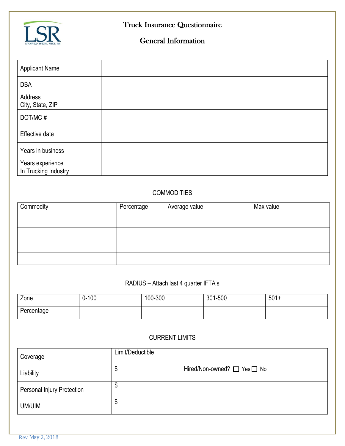

# Truck Insurance Questionnaire

## General Information

| <b>Applicant Name</b>                    |  |
|------------------------------------------|--|
| <b>DBA</b>                               |  |
| Address<br>City, State, ZIP              |  |
| DOT/MC#                                  |  |
| Effective date                           |  |
| Years in business                        |  |
| Years experience<br>In Trucking Industry |  |

### **COMMODITIES**

| Commodity | Percentage | Average value | Max value |
|-----------|------------|---------------|-----------|
|           |            |               |           |
|           |            |               |           |
|           |            |               |           |
|           |            |               |           |

### RADIUS – Attach last 4 quarter IFTA's

| Zone       | $0 - 100$ | 100-300 | 301-500 | $501+$ |
|------------|-----------|---------|---------|--------|
| Percentage |           |         |         |        |

#### CURRENT LIMITS

| Coverage                          | Limit/Deductible                |
|-----------------------------------|---------------------------------|
| Liability                         | Hired/Non-owned? □ Yes□ No<br>Φ |
| <b>Personal Injury Protection</b> | Φ                               |
| UM/UIM                            | Ψ                               |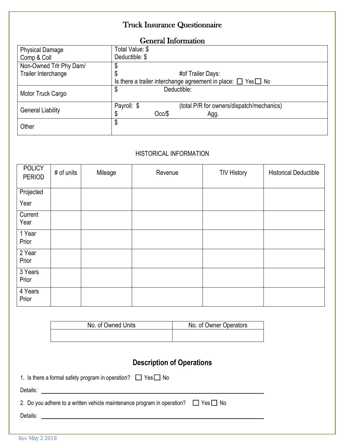## Truck Insurance Questionnaire

#### General Information

| <b>Physical Damage</b>   | Total Value: \$                                                         |  |  |
|--------------------------|-------------------------------------------------------------------------|--|--|
| Comp & Coll              | Deductible: \$                                                          |  |  |
| Non-Owned Trlr Phy Dam/  | S                                                                       |  |  |
| Trailer Interchange      | #of Trailer Days:                                                       |  |  |
|                          | Is there a trailer interchange agreement in place: $\Box$ Yes $\Box$ No |  |  |
| Motor Truck Cargo        | Deductible:<br>\$                                                       |  |  |
|                          | Payroll: \$<br>(total P/R for owners/dispatch/mechanics)                |  |  |
| <b>General Liability</b> | Occ / \$<br>Agg.                                                        |  |  |
| Other                    | \$                                                                      |  |  |

#### HISTORICAL INFORMATION

| <b>POLICY</b><br><b>PERIOD</b> | # of units | Mileage | Revenue | <b>TIV History</b> | <b>Historical Deductible</b> |
|--------------------------------|------------|---------|---------|--------------------|------------------------------|
| Projected                      |            |         |         |                    |                              |
| Year                           |            |         |         |                    |                              |
| Current<br>Year                |            |         |         |                    |                              |
| 1 Year<br>Prior                |            |         |         |                    |                              |
| 2 Year<br>Prior                |            |         |         |                    |                              |
| 3 Years<br>Prior               |            |         |         |                    |                              |
| 4 Years<br>Prior               |            |         |         |                    |                              |

| No. of Owned Units | No. of Owner Operators |
|--------------------|------------------------|
|                    |                        |

## **Description of Operations**

| 1. Is there a formal safety program in operation? $\Box$ Yes $\Box$ No |  |
|------------------------------------------------------------------------|--|
|------------------------------------------------------------------------|--|

Details: <u>Queen</u>

2. Do you adhere to a written vehicle maintenance program in operation?  $\Box$  Yes  $\Box$  No

Details: